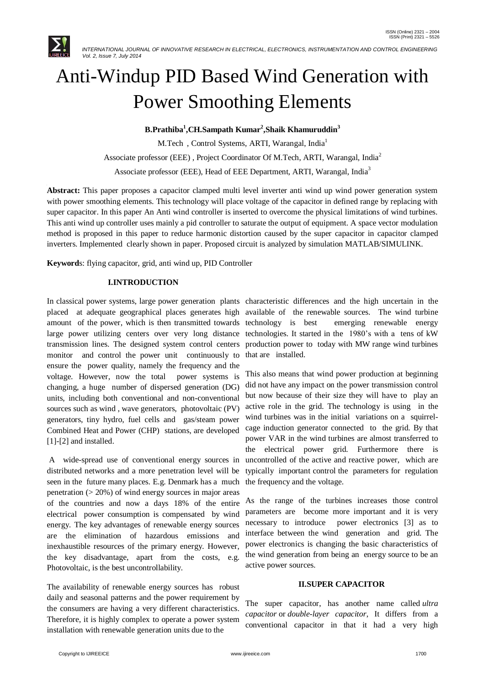

# Anti-Windup PID Based Wind Generation with Power Smoothing Elements

**B.Prathiba<sup>1</sup> ,CH.Sampath Kumar<sup>2</sup> ,Shaik Khamuruddin<sup>3</sup>**

M.Tech, Control Systems, ARTI, Warangal, India<sup>1</sup>

Associate professor (EEE) , Project Coordinator Of M.Tech, ARTI, Warangal, India<sup>2</sup>

Associate professor (EEE), Head of EEE Department, ARTI, Warangal, India<sup>3</sup>

**Abstract:** This paper proposes a capacitor clamped multi level inverter anti wind up wind power generation system with power smoothing elements. This technology will place voltage of the capacitor in defined range by replacing with super capacitor. In this paper An Anti wind controller is inserted to overcome the physical limitations of wind turbines. This anti wind up controller uses mainly a pid controller to saturate the output of equipment. A space vector modulation method is proposed in this paper to reduce harmonic distortion caused by the super capacitor in capacitor clamped inverters. Implemented clearly shown in paper. Proposed circuit is analyzed by simulation MATLAB/SIMULINK.

**Keyword**s: flying capacitor, grid, anti wind up, PID Controller

# **I.INTRODUCTION**

In classical power systems, large power generation plants characteristic differences and the high uncertain in the placed at adequate geographical places generates high available of the renewable sources. The wind turbine amount of the power, which is then transmitted towards technology is best large power utilizing centers over very long distance technologies. It started in the 1980's with a tens of kW transmission lines. The designed system control centers monitor and control the power unit continuously to ensure the power quality, namely the frequency and the voltage. However, now the total power systems is changing, a huge number of dispersed generation (DG) units, including both conventional and non-conventional sources such as wind , wave generators, photovoltaic (PV) generators, tiny hydro, fuel cells and gas/steam power Combined Heat and Power (CHP) stations, are developed [1]-[2] and installed.

A wide-spread use of conventional energy sources in distributed networks and a more penetration level will be seen in the future many places. E.g. Denmark has a much penetration  $(20\%)$  of wind energy sources in major areas of the countries and now a days 18% of the entire electrical power consumption is compensated by wind energy. The key advantages of renewable energy sources are the elimination of hazardous emissions and inexhaustible resources of the primary energy. However, the key disadvantage, apart from the costs, e.g. Photovoltaic, is the best uncontrollability.

The availability of renewable energy sources has robust daily and seasonal patterns and the power requirement by the consumers are having a very different characteristics. Therefore, it is highly complex to operate a power system installation with renewable generation units due to the

emerging renewable energy production power to today with MW range wind turbines that are installed.

This also means that wind power production at beginning did not have any impact on the power transmission control but now because of their size they will have to play an active role in the grid. The technology is using in the wind turbines was in the initial variations on a squirrelcage induction generator connected to the grid. By that power VAR in the wind turbines are almost transferred to the electrical power grid. Furthermore there is uncontrolled of the active and reactive power, which are typically important control the parameters for regulation the frequency and the voltage.

As the range of the turbines increases those control parameters are become more important and it is very necessary to introduce power electronics [3] as to interface between the wind generation and grid. The power electronics is changing the basic characteristics of the wind generation from being an energy source to be an active power sources.

## **II.SUPER CAPACITOR**

The super capacitor, has another name called *ultra capacitor* or *double-layer capacitor*, It differs from a conventional capacitor in that it had a very high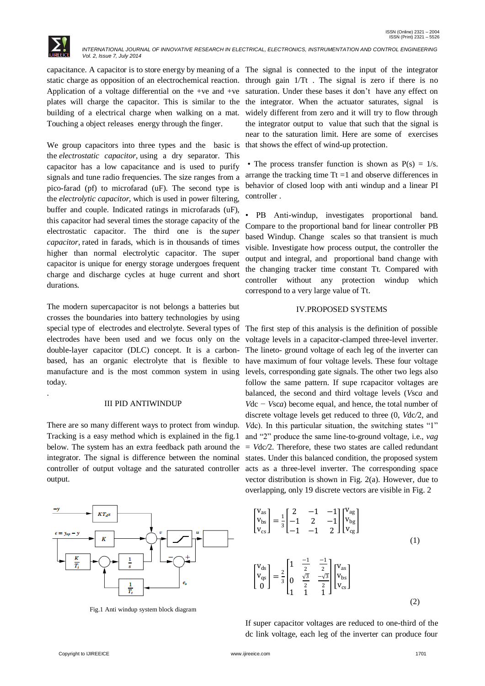

.

 *INTERNATIONAL JOURNAL OF INNOVATIVE RESEARCH IN ELECTRICAL, ELECTRONICS, INSTRUMENTATION AND CONTROL ENGINEERING Vol. 2, Issue 7, July 2014*

Application of a voltage differential on the +ve and +ve plates will charge the capacitor. This is similar to the building of a electrical charge when walking on a mat. Touching a object releases energy through the finger.

We group capacitors into three types and the basic is the *electrostatic capacitor,* using a dry separator. This capacitor has a low capacitance and is used to purify signals and tune radio frequencies. The size ranges from a pico-farad (pf) to microfarad (uF). The second type is the *electrolytic capacitor,* which is used in power filtering, buffer and couple. Indicated ratings in microfarads (uF), this capacitor had several times the storage capacity of the electrostatic capacitor. The third one is the *super capacitor,* rated in farads, which is in thousands of times higher than normal electrolytic capacitor. The super capacitor is unique for energy storage undergoes frequent charge and discharge cycles at huge current and short durations.

The modern supercapacitor is not belongs a batteries but crosses the boundaries into battery technologies by using special type of electrodes and electrolyte. Several types of electrodes have been used and we focus only on the double-layer capacitor (DLC) concept. It is a carbonbased, has an organic electrolyte that is flexible to manufacture and is the most common system in using today.

#### III PID ANTIWINDUP

There are so many different ways to protect from windup. Tracking is a easy method which is explained in the fig.1 below. The system has an extra feedback path around the integrator. The signal is difference between the nominal controller of output voltage and the saturated controller output.



Fig.1 Anti windup system block diagram

capacitance. A capacitor is to store energy by meaning of a The signal is connected to the input of the integrator static charge as opposition of an electrochemical reaction. through gain 1/Tt . The signal is zero if there is no saturation. Under these bases it don't have any effect on the integrator. When the actuator saturates, signal is widely different from zero and it will try to flow through the integrator output to value that such that the signal is near to the saturation limit. Here are some of exercises that shows the effect of wind-up protection.

> • The process transfer function is shown as  $P(s) = 1/s$ . arrange the tracking time  $Tt = 1$  and observe differences in behavior of closed loop with anti windup and a linear PI controller .

> • PB Anti-windup, investigates proportional band. Compare to the proportional band for linear controller PB based Windup. Change scales so that transient is much visible. Investigate how process output, the controller the output and integral, and proportional band change with the changing tracker time constant Tt. Compared with controller without any protection windup which correspond to a very large value of Tt.

### IV.PROPOSED SYSTEMS

The first step of this analysis is the definition of possible voltage levels in a capacitor-clamped three-level inverter. The lineto- ground voltage of each leg of the inverter can have maximum of four voltage levels. These four voltage levels, corresponding gate signals. The other two legs also follow the same pattern. If supe rcapacitor voltages are balanced, the second and third voltage levels (*V*sc*a* and *V*dc *− V*sc*a*) become equal, and hence, the total number of discrete voltage levels get reduced to three (0, *V*dc*/*2, and *Vdc*). In this particular situation, the switching states "1" and "2" produce the same line-to-ground voltage, i.e., *vag*  = *V*dc*/*2. Therefore, these two states are called redundant states. Under this balanced condition, the proposed system acts as a three-level inverter. The corresponding space vector distribution is shown in Fig. 2(a). However, due to overlapping, only 19 discrete vectors are visible in Fig. 2

$$
\begin{bmatrix}\nV_{as} \\
V_{bs} \\
V_{cs}\n\end{bmatrix} = \frac{1}{3} \begin{bmatrix}\n2 & -1 & -1 \\
-1 & 2 & -1 \\
-1 & -1 & 2\n\end{bmatrix} \begin{bmatrix}\nV_{ag} \\
V_{bg} \\
V_{cg}\n\end{bmatrix}
$$
\n(1)\n
$$
\begin{bmatrix}\nV_{ds} \\
V_{qs} \\
0\n\end{bmatrix} = \frac{2}{3} \begin{bmatrix}\n1 & \frac{-1}{2} & \frac{-1}{2} \\
0 & \frac{\sqrt{3}}{2} & \frac{-\sqrt{3}}{2} \\
1 & 1 & 1\n\end{bmatrix} \begin{bmatrix}\nV_{as} \\
V_{bs} \\
V_{cs}\n\end{bmatrix}
$$
\n(2)

If super capacitor voltages are reduced to one-third of the dc link voltage, each leg of the inverter can produce four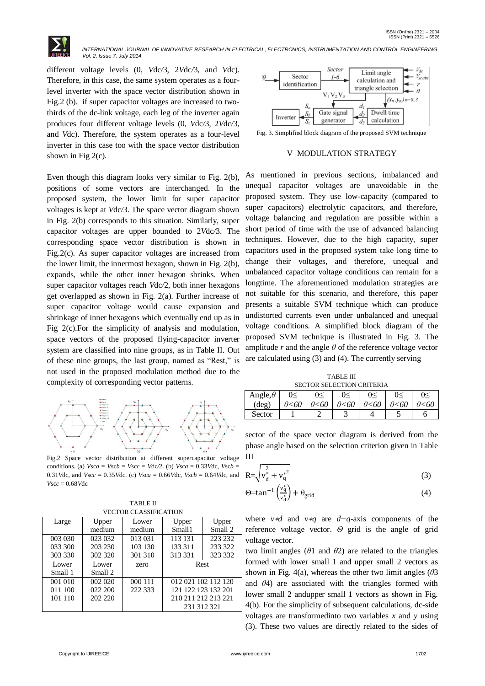

different voltage levels (0, *V*dc*/*3, 2*V*dc*/*3, and *V*dc). Therefore, in this case, the same system operates as a fourlevel inverter with the space vector distribution shown in Fig.2 (b). if super capacitor voltages are increased to twothirds of the dc-link voltage, each leg of the inverter again produces four different voltage levels (0, *V*dc*/*3, 2*V*dc*/*3, and *V*dc). Therefore, the system operates as a four-level inverter in this case too with the space vector distribution shown in Fig 2(c).

Even though this diagram looks very similar to Fig. 2(b), positions of some vectors are interchanged. In the proposed system, the lower limit for super capacitor voltages is kept at *V*dc*/*3. The space vector diagram shown in Fig. 2(b) corresponds to this situation. Similarly, super capacitor voltages are upper bounded to 2*V*dc*/*3. The corresponding space vector distribution is shown in Fig.2(c). As super capacitor voltages are increased from the lower limit, the innermost hexagon, shown in Fig. 2(b), expands, while the other inner hexagon shrinks. When super capacitor voltages reach *V*dc*/*2, both inner hexagons get overlapped as shown in Fig. 2(a). Further increase of super capacitor voltage would cause expansion and shrinkage of inner hexagons which eventually end up as in Fig 2(c).For the simplicity of analysis and modulation, space vectors of the proposed flying-capacitor inverter system are classified into nine groups, as in Table II. Out of these nine groups, the last group, named as "Rest," is not used in the proposed modulation method due to the complexity of corresponding vector patterns.



Fig.2 Space vector distribution at different supercapacitor voltage conditions. (a)  $V$ sc*a* =  $V$ sc*b* =  $V$ sc*c* =  $V$ dc/2. (b)  $V$ sc*a* = 0.33 $V$ dc,  $V$ sc*b* = 0.31*V*dc, and *Vscc* = 0.35*V*dc. (c) *Vsca* = 0.66*V*dc, *Vscb* = 0.64*Vdc*, and *V*sc*c* = 0*.*68*V*dc

| <b>TABLE II</b>       |  |
|-----------------------|--|
| VECTOR CLASSIFICATION |  |

| VECTOR CEASSILICATION |         |         |                     |         |  |  |  |
|-----------------------|---------|---------|---------------------|---------|--|--|--|
| Large                 | Upper   | Lower   | Upper               | Upper   |  |  |  |
|                       | medium  | medium  | Small1              | Small 2 |  |  |  |
| 003 030               | 023 032 | 013 031 | 113 131             | 223 232 |  |  |  |
| 033 300               | 203 230 | 103 130 | 133 311             | 233 322 |  |  |  |
| 303 330               | 302 320 | 301 310 | 313 331             | 323 332 |  |  |  |
| Lower                 | Lower   | zero    | Rest                |         |  |  |  |
| Small 1               | Small 2 |         |                     |         |  |  |  |
| 001 010               | 002 020 | 000 111 | 012 021 102 112 120 |         |  |  |  |
| 011 100               | 022 200 | 222 333 | 121 122 123 132 201 |         |  |  |  |
| 101 110               | 202 220 |         | 210 211 212 213 221 |         |  |  |  |
|                       |         |         | 231 312 321         |         |  |  |  |



Fig. 3. Simplified block diagram of the proposed SVM technique

#### V MODULATION STRATEGY

As mentioned in previous sections, imbalanced and unequal capacitor voltages are unavoidable in the proposed system. They use low-capacity (compared to super capacitors) electrolytic capacitors, and therefore, voltage balancing and regulation are possible within a short period of time with the use of advanced balancing techniques. However, due to the high capacity, super capacitors used in the proposed system take long time to change their voltages, and therefore, unequal and unbalanced capacitor voltage conditions can remain for a longtime. The aforementioned modulation strategies are not suitable for this scenario, and therefore, this paper presents a suitable SVM technique which can produce undistorted currents even under unbalanced and unequal voltage conditions. A simplified block diagram of the proposed SVM technique is illustrated in Fig. 3. The amplitude  $r$  and the angle  $\theta$  of the reference voltage vector are calculated using (3) and (4). The currently serving

TABLE III SECTOR SELECTION CRITERIA

| Angle, $\theta$ |                | $\sim$        |      |               |      |                |
|-----------------|----------------|---------------|------|---------------|------|----------------|
| $(\text{deg})$  | <i>0&lt;60</i> | $\theta<\!60$ | 0<60 | $\theta<\!60$ | 0<60 | <i>0&lt;60</i> |
| Sector          |                |               |      |               |      |                |

sector of the space vector diagram is derived from the phase angle based on the selection criterion given in Table III

$$
R = \sqrt{v_d^2 + v_q^2}
$$
 (3)

$$
\Theta = \tan^{-1} \left( \frac{v_d^*}{v_d^*} \right) + \theta_{\text{grid}} \tag{4}
$$

where *v*∗*d* and *v*∗*q* are *d−q*-axis components of the reference voltage vector. *Θ* grid is the angle of grid voltage vector.

two limit angles (*θ*1 and *θ*2) are related to the triangles formed with lower small 1 and upper small 2 vectors as shown in Fig. 4(a), whereas the other two limit angles (*θ*3 and *θ*4) are associated with the triangles formed with lower small 2 andupper small 1 vectors as shown in Fig. 4(b). For the simplicity of subsequent calculations, dc-side voltages are transformedinto two variables *x* and *y* using (3). These two values are directly related to the sides of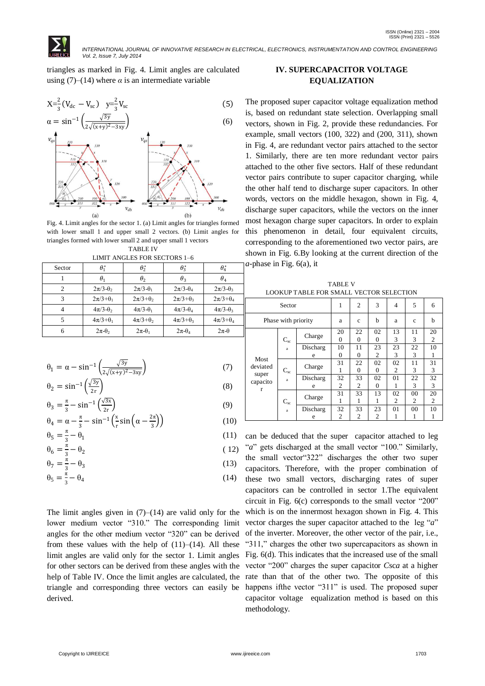triangles as marked in Fig. 4. Limit angles are calculated using  $(7)$ – $(14)$  where  $\alpha$  is an intermediate variable



Fig. 4. Limit angles for the sector 1. (a) Limit angles for triangles formed with lower small 1 and upper small 2 vectors. (b) Limit angles for triangles formed with lower small 2 and upper small 1 vectors TABLE IV

|  | LIMIT ANGLES FOR SECTORS 1–6 |  |
|--|------------------------------|--|

| Sector | $\theta_{1}^{*}$    | $\theta_2^*$        | $\theta_3^*$        | $\theta_4^*$        |
|--------|---------------------|---------------------|---------------------|---------------------|
|        | $\theta_1$          | $\theta_2$          | $\theta_3$          | $\theta_4$          |
| っ      | $2\pi/3 - \theta_2$ | $2\pi/3 - \theta_1$ | $2\pi/3-\theta_4$   | $2\pi/3-\theta_3$   |
| 3      | $2\pi/3+ \theta_1$  | $2\pi/3+ \theta_2$  | $2\pi/3+ \theta_3$  | $2\pi/3+ \theta_4$  |
|        | $4\pi/3 - \theta_2$ | $4\pi/3 - \theta_1$ | $4\pi/3 - \theta_4$ | $4\pi/3 - \theta_3$ |
|        | $4\pi/3+ \theta_1$  | $4\pi/3+ \theta$    | $4\pi/3+ \theta_3$  | $4\pi/3+ \theta_4$  |
|        | $2\pi-\theta$       | $2\pi-\theta_1$     | $2\pi-\theta_4$     | $2\pi-\theta$       |

$$
\theta_1 = \alpha - \sin^{-1}\left(\frac{\sqrt{3y}}{2\sqrt{(x+y)^2 - 3xy}}\right) \tag{7}
$$

$$
\theta_2 = \sin^{-1}\left(\frac{\sqrt{3y}}{2r}\right) \tag{8}
$$

$$
\theta_3 = \frac{\pi}{3} - \sin^{-1}\left(\frac{\sqrt{3x}}{2r}\right)
$$
  
\n
$$
\theta_4 = \alpha - \frac{\pi}{3} - \sin^{-1}\left(\frac{x}{r}\sin\left(\alpha - \frac{2\pi}{3}\right)\right)
$$
\n(9)

$$
\theta_5 = \frac{\pi}{3} - \theta_1 \tag{11}
$$

$$
\theta_6 = \frac{\pi}{3} - \theta_2 \tag{12}
$$

$$
\theta_7 = \frac{\pi}{3} - \theta_3 \tag{13}
$$

$$
\theta_5 = \frac{\pi}{3} - \theta_4 \tag{14}
$$

The limit angles given in  $(7)$ – $(14)$  are valid only for the lower medium vector "310." The corresponding limit angles for the other medium vector "320" can be derived from these values with the help of  $(11)–(14)$ . All these limit angles are valid only for the sector 1. Limit angles for other sectors can be derived from these angles with the derived.

# **IV. SUPERCAPACITOR VOLTAGE EQUALIZATION**

The proposed super capacitor voltage equalization method is, based on redundant state selection. Overlapping small vectors, shown in Fig. 2, provide these redundancies. For example, small vectors (100, 322) and (200, 311), shown in Fig. 4, are redundant vector pairs attached to the sector 1. Similarly, there are ten more redundant vector pairs attached to the other five sectors. Half of these redundant vector pairs contribute to super capacitor charging, while the other half tend to discharge super capacitors. In other words, vectors on the middle hexagon, shown in Fig. 4, discharge super capacitors, while the vectors on the inner most hexagon charge super capacitors. In order to explain this phenomenon in detail, four equivalent circuits, corresponding to the aforementioned two vector pairs, are shown in Fig. 6.By looking at the current direction of the *a*-phase in Fig. 6(a), it

TABLE V LOOKUP TABLE FOR SMALL VECTOR SELECTION

| Sector                                     |                     | 1             | $\overline{c}$       | 3                    | 4                    | 5                    | 6            |         |
|--------------------------------------------|---------------------|---------------|----------------------|----------------------|----------------------|----------------------|--------------|---------|
|                                            | Phase with priority |               | a                    | $\mathbf{c}$         | b                    | a                    | $\mathbf{C}$ | h       |
|                                            | $C_{sc}$            | Charge        | 20<br>$\theta$       | 22<br>$\theta$       | 02<br>$\theta$       | 13<br>3              | 11<br>3      | 20<br>2 |
|                                            | a                   | Discharg<br>e | 10<br>0              | 11<br>0              | 23<br>$\overline{c}$ | 23<br>3              | 22<br>3      | 10<br>1 |
| Most<br>deviated<br>super<br>capacito<br>r | $C_{sc}$            | Charge        | 31                   | 22<br>$\Omega$       | 02<br>0              | 02<br>$\mathfrak{D}$ | 11<br>3      | 31<br>3 |
|                                            | $\rm{a}$            | Discharg<br>e | 32<br>$\overline{c}$ | 33<br>2              | 02<br>$\Omega$       | 01<br>1              | 22<br>3      | 32<br>3 |
|                                            | $C_{sc}$            | Charge        | 31<br>1              | 33                   | 13<br>1              | 02<br>2              | 00<br>2      | 20<br>2 |
|                                            | a                   | Discharg<br>e | 32<br>2              | 33<br>$\overline{c}$ | 23<br>2              | 01<br>l              | 00<br>1      | 10<br>l |

help of Table IV. Once the limit angles are calculated, the rate than that of the other two. The opposite of this triangle and corresponding three vectors can easily be happens ifthe vector "311" is used. The proposed super can be deduced that the super capacitor attached to leg "*a*" gets discharged at the small vector "100." Similarly, the small vector"322" discharges the other two super capacitors. Therefore, with the proper combination of these two small vectors, discharging rates of super capacitors can be controlled in sector 1.The equivalent circuit in Fig. 6(c) corresponds to the small vector "200" which is on the innermost hexagon shown in Fig. 4. This vector charges the super capacitor attached to the leg "*a*" of the inverter. Moreover, the other vector of the pair, i.e., "311," charges the other two supercapacitors as shown in Fig. 6(d). This indicates that the increased use of the small vector "200" charges the super capacitor *C*sc*a* at a higher capacitor voltage equalization method is based on this methodology.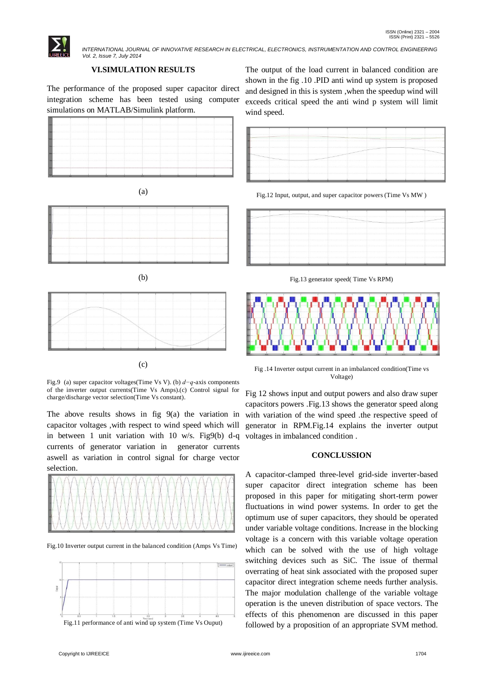

# **VI.SIMULATION RESULTS**

The performance of the proposed super capacitor direct integration scheme has been tested using computer simulations on MATLAB/Simulink platform.









| <b>STEP</b>                                                                                                                                                                                                                   | Be executed in a complete the coefficiency complete the construction of the complete complete controllers and |                                                                                                                |  |                                                |
|-------------------------------------------------------------------------------------------------------------------------------------------------------------------------------------------------------------------------------|---------------------------------------------------------------------------------------------------------------|----------------------------------------------------------------------------------------------------------------|--|------------------------------------------------|
| and the contribution of the contribution of the international contribution of the contribution of the contribution of the contribution of the contribution of the contribution of the contribution of the contribution of the |                                                                                                               |                                                                                                                |  |                                                |
|                                                                                                                                                                                                                               |                                                                                                               |                                                                                                                |  |                                                |
|                                                                                                                                                                                                                               |                                                                                                               | The comment of the transport that a second complete a measurement of the second of the second complete and the |  | the state and the collection of the collection |
|                                                                                                                                                                                                                               | several control and a series of the control                                                                   |                                                                                                                |  |                                                |

(c)

Fig.9 (a) super capacitor voltages(Time Vs V). (b) *d−q*-axis components of the inverter output currents(Time Vs Amps).(c) Control signal for charge/discharge vector selection(Time Vs constant).

The above results shows in fig  $9(a)$  the variation in capacitor voltages ,with respect to wind speed which will in between 1 unit variation with 10 w/s. Fig9(b) d-q currents of generator variation in generator currents aswell as variation in control signal for charge vector selection.



Fig.10 Inverter output current in the balanced condition (Amps Vs Time)





The output of the load current in balanced condition are shown in the fig .10 .PID anti wind up system is proposed and designed in this is system ,when the speedup wind will exceeds critical speed the anti wind p system will limit wind speed.



Fig.12 Input, output, and super capacitor powers (Time Vs MW )



Fig.13 generator speed( Time Vs RPM)



Fig .14 Inverter output current in an imbalanced condition(Time vs Voltage)

Fig 12 shows input and output powers and also draw super capacitors powers .Fig.13 shows the generator speed along with variation of the wind speed .the respective speed of generator in RPM.Fig.14 explains the inverter output voltages in imbalanced condition .

## **CONCLUSSION**

A capacitor-clamped three-level grid-side inverter-based super capacitor direct integration scheme has been proposed in this paper for mitigating short-term power fluctuations in wind power systems. In order to get the optimum use of super capacitors, they should be operated under variable voltage conditions. Increase in the blocking voltage is a concern with this variable voltage operation which can be solved with the use of high voltage switching devices such as SiC. The issue of thermal overrating of heat sink associated with the proposed super capacitor direct integration scheme needs further analysis. The major modulation challenge of the variable voltage operation is the uneven distribution of space vectors. The effects of this phenomenon are discussed in this paper followed by a proposition of an appropriate SVM method.